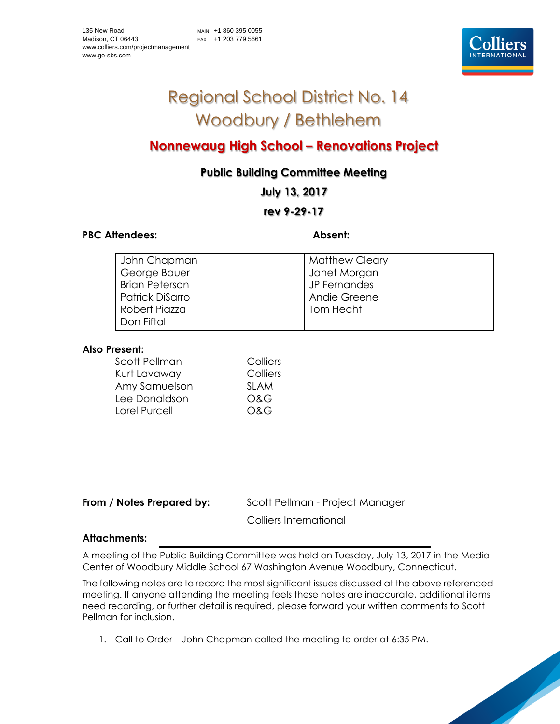# Regional School District No. 14 Woodbury / Bethlehem

# **Nonnewaug High School – Renovations Project**

## **Public Building Committee Meeting**

**July 13, 2017**

### **rev 9-29-17**

#### PBC Attendees: **Absent: Absent:**

| John Chapman          | <b>Matthew Cleary</b> |
|-----------------------|-----------------------|
| George Bauer          | Janet Morgan          |
| <b>Brian Peterson</b> | JP Fernandes          |
| Patrick DiSarro       | Andie Greene          |
| Robert Piazza         | Tom Hecht             |
| l Don Fiftal          |                       |

#### **Also Present:**

| Colliers    |
|-------------|
| Colliers    |
| <b>SLAM</b> |
| O&G         |
| O&G         |
|             |

**From / Notes Prepared by:** Scott Pellman - Project Manager

Colliers International

#### **Attachments:**

A meeting of the Public Building Committee was held on Tuesday, July 13, 2017 in the Media Center of Woodbury Middle School 67 Washington Avenue Woodbury, Connecticut.

The following notes are to record the most significant issues discussed at the above referenced meeting. If anyone attending the meeting feels these notes are inaccurate, additional items need recording, or further detail is required, please forward your written comments to Scott Pellman for inclusion.

1. Call to Order – John Chapman called the meeting to order at 6:35 PM.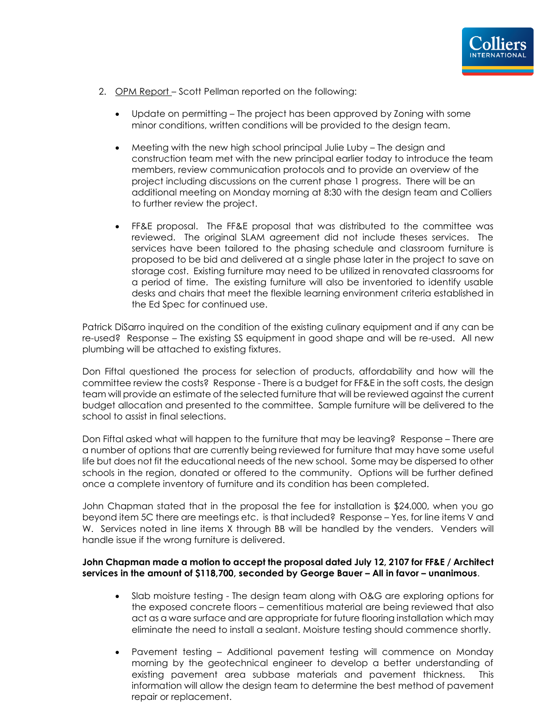

- 2. OPM Report Scott Pellman reported on the following:
	- Update on permitting The project has been approved by Zoning with some minor conditions, written conditions will be provided to the design team.
	- Meeting with the new high school principal Julie Luby The design and construction team met with the new principal earlier today to introduce the team members, review communication protocols and to provide an overview of the project including discussions on the current phase 1 progress. There will be an additional meeting on Monday morning at 8:30 with the design team and Colliers to further review the project.
	- FF&E proposal. The FF&E proposal that was distributed to the committee was reviewed. The original SLAM agreement did not include theses services. The services have been tailored to the phasing schedule and classroom furniture is proposed to be bid and delivered at a single phase later in the project to save on storage cost. Existing furniture may need to be utilized in renovated classrooms for a period of time. The existing furniture will also be inventoried to identify usable desks and chairs that meet the flexible learning environment criteria established in the Ed Spec for continued use.

Patrick DiSarro inquired on the condition of the existing culinary equipment and if any can be re-used? Response – The existing SS equipment in good shape and will be re-used. All new plumbing will be attached to existing fixtures.

Don Fiftal questioned the process for selection of products, affordability and how will the committee review the costs? Response - There is a budget for FF&E in the soft costs, the design team will provide an estimate of the selected furniture that will be reviewed against the current budget allocation and presented to the committee. Sample furniture will be delivered to the school to assist in final selections.

Don Fiftal asked what will happen to the furniture that may be leaving? Response – There are a number of options that are currently being reviewed for furniture that may have some useful life but does not fit the educational needs of the new school. Some may be dispersed to other schools in the region, donated or offered to the community. Options will be further defined once a complete inventory of furniture and its condition has been completed.

John Chapman stated that in the proposal the fee for installation is \$24,000, when you go beyond item 5C there are meetings etc. is that included? Response – Yes, for line items V and W. Services noted in line items X through BB will be handled by the venders. Venders will handle issue if the wrong furniture is delivered.

#### **John Chapman made a motion to accept the proposal dated July 12, 2107 for FF&E / Architect services in the amount of \$118,700, seconded by George Bauer – All in favor – unanimous**.

- Slab moisture testing The design team along with O&G are exploring options for the exposed concrete floors – cementitious material are being reviewed that also act as a ware surface and are appropriate for future flooring installation which may eliminate the need to install a sealant. Moisture testing should commence shortly.
- Pavement testing Additional pavement testing will commence on Monday morning by the geotechnical engineer to develop a better understanding of existing pavement area subbase materials and pavement thickness. This information will allow the design team to determine the best method of pavement repair or replacement.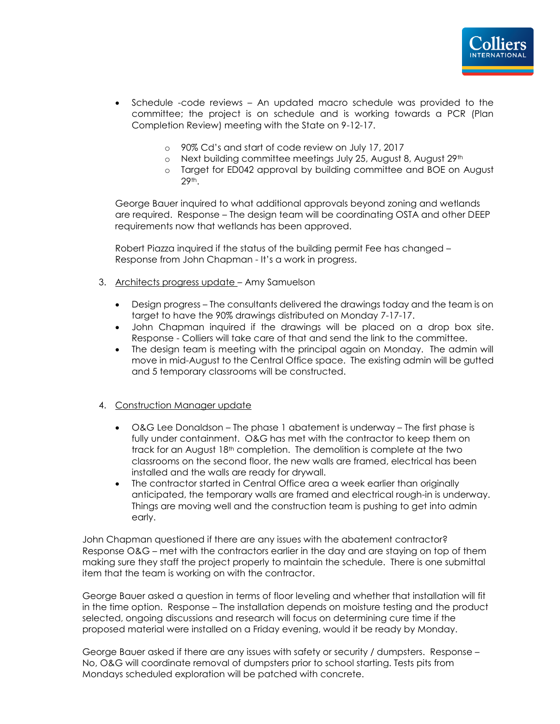- Schedule -code reviews An updated macro schedule was provided to the committee; the project is on schedule and is working towards a PCR (Plan Completion Review) meeting with the State on 9-12-17.
	- o 90% Cd's and start of code review on July 17, 2017
	- o Next building committee meetings July 25, August 8, August 29th
	- o Target for ED042 approval by building committee and BOE on August 29th.

George Bauer inquired to what additional approvals beyond zoning and wetlands are required. Response – The design team will be coordinating OSTA and other DEEP requirements now that wetlands has been approved.

Robert Piazza inquired if the status of the building permit Fee has changed – Response from John Chapman - It's a work in progress.

- 3. Architects progress update Amy Samuelson
	- Design progress The consultants delivered the drawings today and the team is on target to have the 90% drawings distributed on Monday 7-17-17.
	- John Chapman inquired if the drawings will be placed on a drop box site. Response - Colliers will take care of that and send the link to the committee.
	- The design team is meeting with the principal again on Monday. The admin will move in mid-August to the Central Office space. The existing admin will be gutted and 5 temporary classrooms will be constructed.

#### 4. Construction Manager update

- O&G Lee Donaldson The phase 1 abatement is underway The first phase is fully under containment. O&G has met with the contractor to keep them on track for an August 18th completion. The demolition is complete at the two classrooms on the second floor, the new walls are framed, electrical has been installed and the walls are ready for drywall.
- The contractor started in Central Office area a week earlier than originally anticipated, the temporary walls are framed and electrical rough-in is underway. Things are moving well and the construction team is pushing to get into admin early.

John Chapman questioned if there are any issues with the abatement contractor? Response O&G – met with the contractors earlier in the day and are staying on top of them making sure they staff the project properly to maintain the schedule. There is one submittal item that the team is working on with the contractor.

George Bauer asked a question in terms of floor leveling and whether that installation will fit in the time option. Response – The installation depends on moisture testing and the product selected, ongoing discussions and research will focus on determining cure time if the proposed material were installed on a Friday evening, would it be ready by Monday.

George Bauer asked if there are any issues with safety or security / dumpsters. Response – No, O&G will coordinate removal of dumpsters prior to school starting. Tests pits from Mondays scheduled exploration will be patched with concrete.